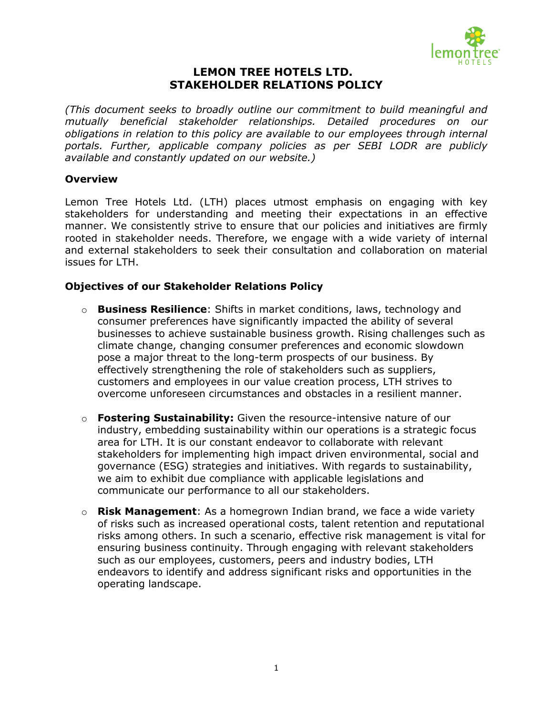

## **LEMON TREE HOTELS LTD. STAKEHOLDER RELATIONS POLICY**

*(This document seeks to broadly outline our commitment to build meaningful and mutually beneficial stakeholder relationships. Detailed procedures on our obligations in relation to this policy are available to our employees through internal portals. Further, applicable company policies as per SEBI LODR are publicly available and constantly updated on our website.)*

## **Overview**

Lemon Tree Hotels Ltd. (LTH) places utmost emphasis on engaging with key stakeholders for understanding and meeting their expectations in an effective manner. We consistently strive to ensure that our policies and initiatives are firmly rooted in stakeholder needs. Therefore, we engage with a wide variety of internal and external stakeholders to seek their consultation and collaboration on material issues for LTH.

## **Objectives of our Stakeholder Relations Policy**

- o **Business Resilience**: Shifts in market conditions, laws, technology and consumer preferences have significantly impacted the ability of several businesses to achieve sustainable business growth. Rising challenges such as climate change, changing consumer preferences and economic slowdown pose a major threat to the long-term prospects of our business. By effectively strengthening the role of stakeholders such as suppliers, customers and employees in our value creation process, LTH strives to overcome unforeseen circumstances and obstacles in a resilient manner.
- o **Fostering Sustainability:** Given the resource-intensive nature of our industry, embedding sustainability within our operations is a strategic focus area for LTH. It is our constant endeavor to collaborate with relevant stakeholders for implementing high impact driven environmental, social and governance (ESG) strategies and initiatives. With regards to sustainability, we aim to exhibit due compliance with applicable legislations and communicate our performance to all our stakeholders.
- o **Risk Management**: As a homegrown Indian brand, we face a wide variety of risks such as increased operational costs, talent retention and reputational risks among others. In such a scenario, effective risk management is vital for ensuring business continuity. Through engaging with relevant stakeholders such as our employees, customers, peers and industry bodies, LTH endeavors to identify and address significant risks and opportunities in the operating landscape.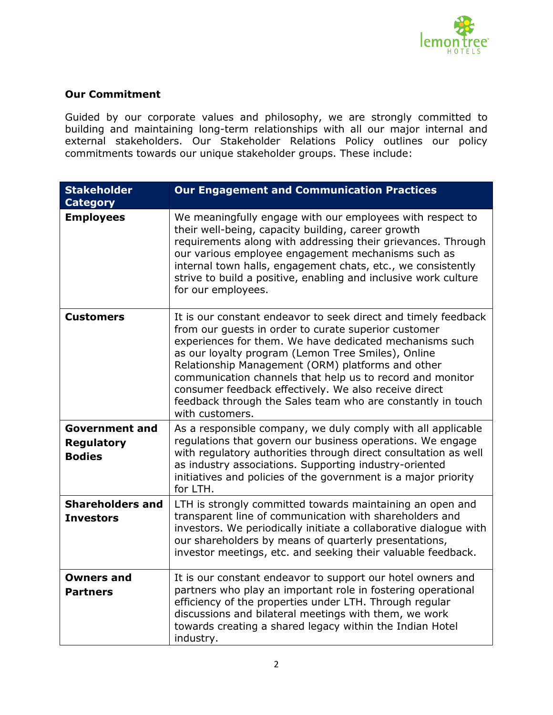

## **Our Commitment**

Guided by our corporate values and philosophy, we are strongly committed to building and maintaining long-term relationships with all our major internal and external stakeholders. Our Stakeholder Relations Policy outlines our policy commitments towards our unique stakeholder groups. These include:

| <b>Stakeholder</b><br><b>Category</b>                       | <b>Our Engagement and Communication Practices</b>                                                                                                                                                                                                                                                                                                                                                                                                                                                    |
|-------------------------------------------------------------|------------------------------------------------------------------------------------------------------------------------------------------------------------------------------------------------------------------------------------------------------------------------------------------------------------------------------------------------------------------------------------------------------------------------------------------------------------------------------------------------------|
| <b>Employees</b>                                            | We meaningfully engage with our employees with respect to<br>their well-being, capacity building, career growth<br>requirements along with addressing their grievances. Through<br>our various employee engagement mechanisms such as<br>internal town halls, engagement chats, etc., we consistently<br>strive to build a positive, enabling and inclusive work culture<br>for our employees.                                                                                                       |
| <b>Customers</b>                                            | It is our constant endeavor to seek direct and timely feedback<br>from our guests in order to curate superior customer<br>experiences for them. We have dedicated mechanisms such<br>as our loyalty program (Lemon Tree Smiles), Online<br>Relationship Management (ORM) platforms and other<br>communication channels that help us to record and monitor<br>consumer feedback effectively. We also receive direct<br>feedback through the Sales team who are constantly in touch<br>with customers. |
| <b>Government and</b><br><b>Regulatory</b><br><b>Bodies</b> | As a responsible company, we duly comply with all applicable<br>regulations that govern our business operations. We engage<br>with regulatory authorities through direct consultation as well<br>as industry associations. Supporting industry-oriented<br>initiatives and policies of the government is a major priority<br>for LTH.                                                                                                                                                                |
| <b>Shareholders and</b><br><b>Investors</b>                 | LTH is strongly committed towards maintaining an open and<br>transparent line of communication with shareholders and<br>investors. We periodically initiate a collaborative dialogue with<br>our shareholders by means of quarterly presentations,<br>investor meetings, etc. and seeking their valuable feedback.                                                                                                                                                                                   |
| <b>Owners and</b><br><b>Partners</b>                        | It is our constant endeavor to support our hotel owners and<br>partners who play an important role in fostering operational<br>efficiency of the properties under LTH. Through regular<br>discussions and bilateral meetings with them, we work<br>towards creating a shared legacy within the Indian Hotel<br>industry.                                                                                                                                                                             |